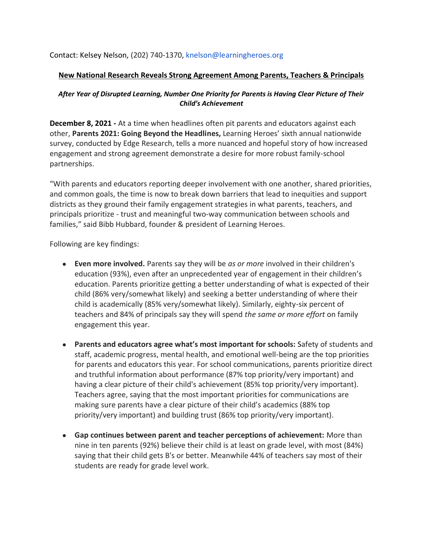Contact: Kelsey Nelson, (202) 740-1370, knelson@learningheroes.org

## **New National Research Reveals Strong Agreement Among Parents, Teachers & Principals**

## *After Year of Disrupted Learning, Number One Priority for Parents is Having Clear Picture of Their Child's Achievement*

**December 8, 2021 -** At a time when headlines often pit parents and educators against each other, **Parents 2021: Going Beyond the Headlines,** Learning Heroes' sixth annual nationwide survey, conducted by Edge Research, tells a more nuanced and hopeful story of how increased engagement and strong agreement demonstrate a desire for more robust family-school partnerships.

"With parents and educators reporting deeper involvement with one another, shared priorities, and common goals, the time is now to break down barriers that lead to inequities and support districts as they ground their family engagement strategies in what parents, teachers, and principals prioritize - trust and meaningful two-way communication between schools and families," said Bibb Hubbard, founder & president of Learning Heroes.

Following are key findings:

- **Even more involved.** Parents say they will be *as or more* involved in their children's education (93%), even after an unprecedented year of engagement in their children's education. Parents prioritize getting a better understanding of what is expected of their child (86% very/somewhat likely) and seeking a better understanding of where their child is academically (85% very/somewhat likely). Similarly, eighty-six percent of teachers and 84% of principals say they will spend *the same or more effort* on family engagement this year.
- **Parents and educators agree what's most important for schools:** Safety of students and staff, academic progress, mental health, and emotional well-being are the top priorities for parents and educators this year. For school communications, parents prioritize direct and truthful information about performance (87% top priority/very important) and having a clear picture of their child's achievement (85% top priority/very important). Teachers agree, saying that the most important priorities for communications are making sure parents have a clear picture of their child's academics (88% top priority/very important) and building trust (86% top priority/very important).
- **Gap continues between parent and teacher perceptions of achievement:** More than nine in ten parents (92%) believe their child is at least on grade level, with most (84%) saying that their child gets B's or better. Meanwhile 44% of teachers say most of their students are ready for grade level work.